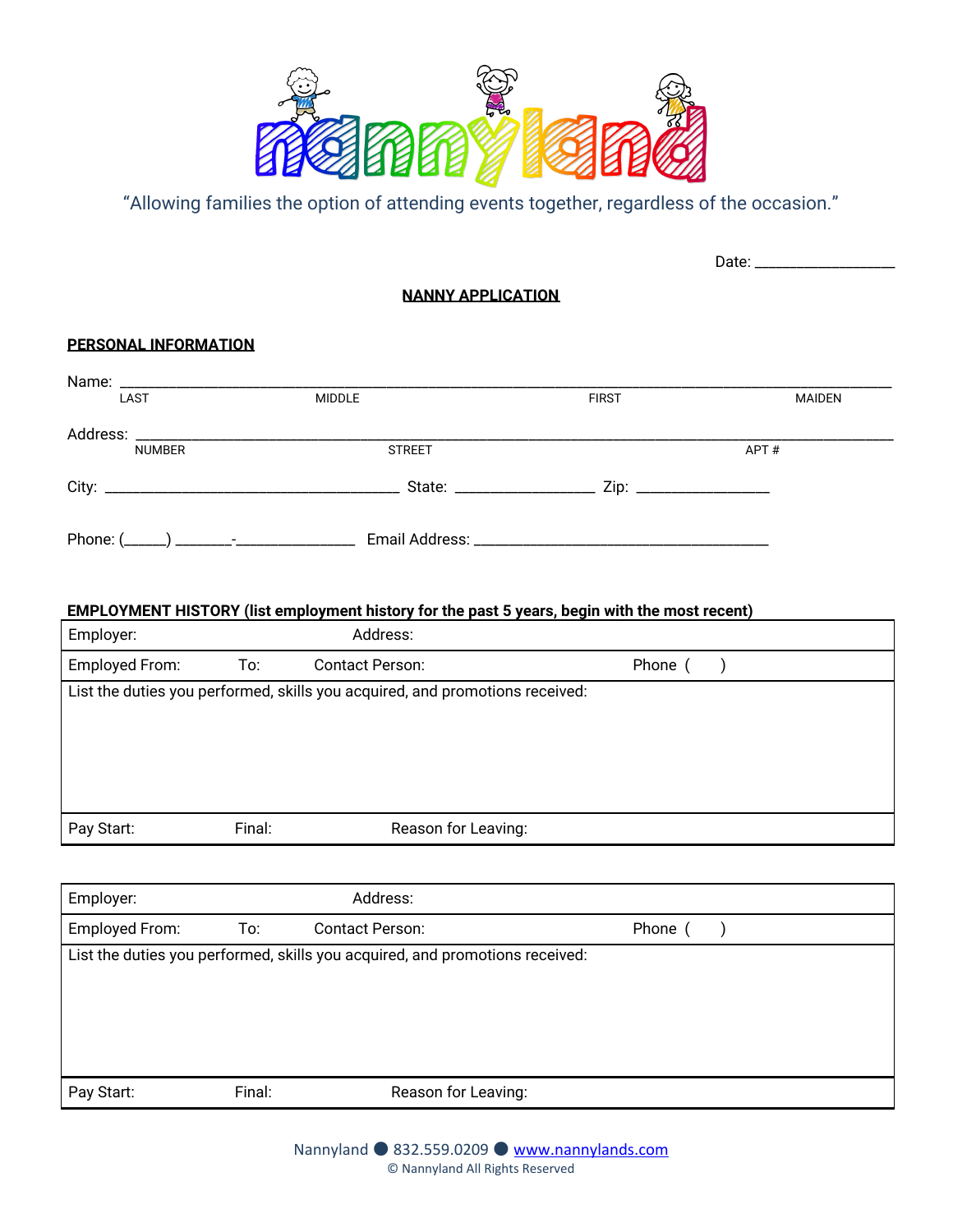

"Allowing families the option of attending events together, regardless of the occasion."

Date: \_\_\_\_\_\_\_\_\_\_\_\_\_\_\_\_\_\_\_\_

## **NANNY APPLICATION**

| <b>PERSONAL INFORMATION</b> |        |                                                                                                           |              |               |
|-----------------------------|--------|-----------------------------------------------------------------------------------------------------------|--------------|---------------|
| Name: ___________           |        |                                                                                                           |              |               |
| LAST                        |        | <b>MIDDLE</b>                                                                                             | <b>FIRST</b> | <b>MAIDEN</b> |
| Address: _                  |        |                                                                                                           |              |               |
| <b>NUMBER</b>               |        | <b>STREET</b>                                                                                             |              | APT#          |
|                             |        |                                                                                                           |              |               |
|                             |        |                                                                                                           |              |               |
|                             |        |                                                                                                           |              |               |
|                             |        |                                                                                                           |              |               |
|                             |        |                                                                                                           |              |               |
| Employer:                   |        | EMPLOYMENT HISTORY (list employment history for the past 5 years, begin with the most recent)<br>Address: |              |               |
| Employed From:              | To:    | Contact Person:                                                                                           | Phone (      | $\mathcal{L}$ |
|                             |        | List the duties you performed, skills you acquired, and promotions received:                              |              |               |
|                             |        |                                                                                                           |              |               |
|                             |        |                                                                                                           |              |               |
|                             |        |                                                                                                           |              |               |
|                             |        |                                                                                                           |              |               |
|                             |        |                                                                                                           |              |               |
| Pay Start:                  | Final: | Reason for Leaving:                                                                                       |              |               |
|                             |        |                                                                                                           |              |               |
| Employer:                   |        | Address:                                                                                                  |              |               |
| Employed From:              | To:    | Contact Person:                                                                                           | Phone (      | $\mathcal{L}$ |
|                             |        | List the duties you performed, skills you acquired, and promotions received:                              |              |               |
|                             |        |                                                                                                           |              |               |
|                             |        |                                                                                                           |              |               |
|                             |        |                                                                                                           |              |               |
|                             |        |                                                                                                           |              |               |
| Pay Start:                  | Final: | Reason for Leaving:                                                                                       |              |               |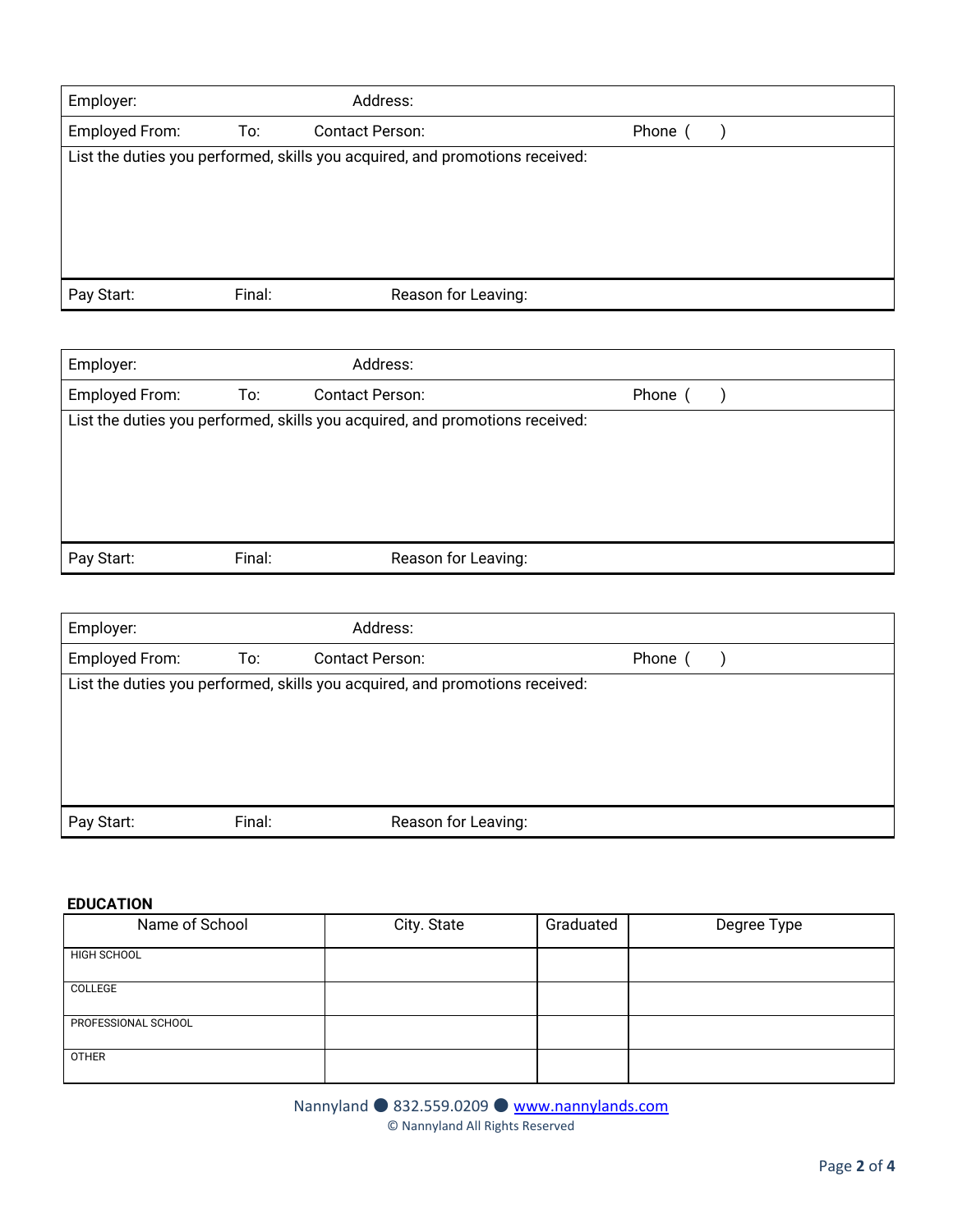| Employer:      |        | Address:                                                                     |         |  |
|----------------|--------|------------------------------------------------------------------------------|---------|--|
| Employed From: | To:    | <b>Contact Person:</b>                                                       | Phone ( |  |
|                |        | List the duties you performed, skills you acquired, and promotions received: |         |  |
|                |        |                                                                              |         |  |
|                |        |                                                                              |         |  |
|                |        |                                                                              |         |  |
|                |        |                                                                              |         |  |
| Pay Start:     | Final: | Reason for Leaving:                                                          |         |  |

| Employer:      |        | Address:                                                                     |         |  |
|----------------|--------|------------------------------------------------------------------------------|---------|--|
| Employed From: | To:    | Contact Person:                                                              | Phone ( |  |
|                |        | List the duties you performed, skills you acquired, and promotions received: |         |  |
|                |        |                                                                              |         |  |
|                |        |                                                                              |         |  |
|                |        |                                                                              |         |  |
|                |        |                                                                              |         |  |
| Pay Start:     | Final: | Reason for Leaving:                                                          |         |  |
|                |        |                                                                              |         |  |

| Employer:      |        | Address:                                                                     |         |  |
|----------------|--------|------------------------------------------------------------------------------|---------|--|
| Employed From: | To:    | <b>Contact Person:</b>                                                       | Phone ( |  |
|                |        | List the duties you performed, skills you acquired, and promotions received: |         |  |
|                |        |                                                                              |         |  |
|                |        |                                                                              |         |  |
|                |        |                                                                              |         |  |
|                |        |                                                                              |         |  |
|                |        |                                                                              |         |  |
| Pay Start:     | Final: | Reason for Leaving:                                                          |         |  |

# **EDUCATION**

| Name of School      | City. State | Graduated | Degree Type |
|---------------------|-------------|-----------|-------------|
| HIGH SCHOOL         |             |           |             |
| COLLEGE             |             |           |             |
| PROFESSIONAL SCHOOL |             |           |             |
| <b>OTHER</b>        |             |           |             |

Nannyland ● 832.559.0209 ● [www.nannylands.com](http://www.nannylands.com/) © Nannyland All Rights Reserved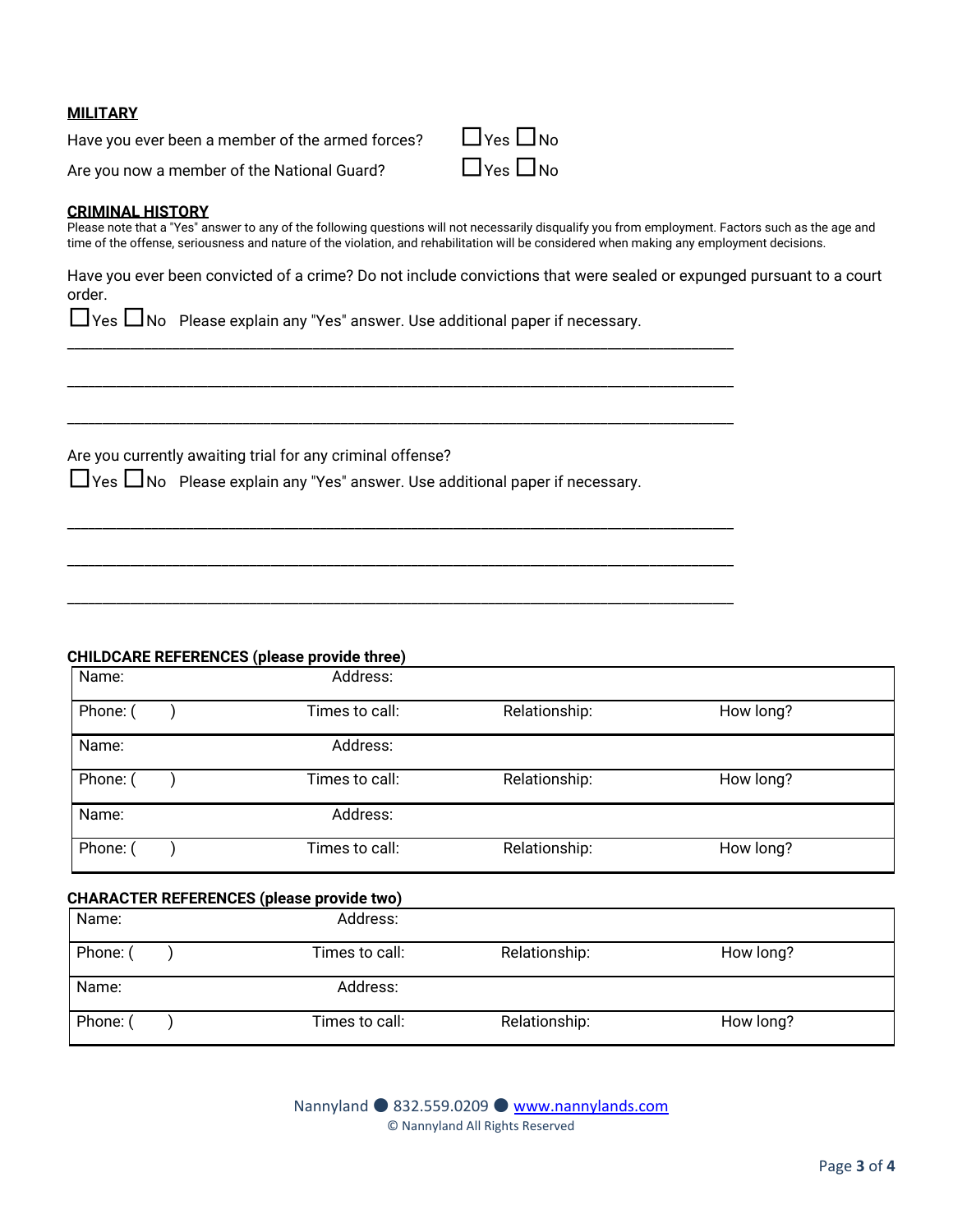#### **MILITARY**

| Have you ever been a member of the armed forces? | $\Box$ Yes $\Box$ No |
|--------------------------------------------------|----------------------|
| Are you now a member of the National Guard?      | $\Box$ Yes $\Box$ No |

#### **CRIMINAL HISTORY**

Please note that a "Yes" answer to any of the following questions will not necessarily disqualify you from employment. Factors such as the age and time of the offense, seriousness and nature of the violation, and rehabilitation will be considered when making any employment decisions.

Have you ever been convicted of a crime? Do not include convictions that were sealed or expunged pursuant to a court order.

□Yes□No Please explain any "Yes" answer. Use additional paper if necessary.

\_\_\_\_\_\_\_\_\_\_\_\_\_\_\_\_\_\_\_\_\_\_\_\_\_\_\_\_\_\_\_\_\_\_\_\_\_\_\_\_\_\_\_\_\_\_\_\_\_\_\_\_\_\_\_\_\_\_\_\_\_\_\_\_\_\_\_\_\_\_\_\_\_\_\_\_\_\_\_\_\_\_\_\_\_\_\_\_\_\_\_\_\_\_\_

\_\_\_\_\_\_\_\_\_\_\_\_\_\_\_\_\_\_\_\_\_\_\_\_\_\_\_\_\_\_\_\_\_\_\_\_\_\_\_\_\_\_\_\_\_\_\_\_\_\_\_\_\_\_\_\_\_\_\_\_\_\_\_\_\_\_\_\_\_\_\_\_\_\_\_\_\_\_\_\_\_\_\_\_\_\_\_\_\_\_\_\_\_\_\_

\_\_\_\_\_\_\_\_\_\_\_\_\_\_\_\_\_\_\_\_\_\_\_\_\_\_\_\_\_\_\_\_\_\_\_\_\_\_\_\_\_\_\_\_\_\_\_\_\_\_\_\_\_\_\_\_\_\_\_\_\_\_\_\_\_\_\_\_\_\_\_\_\_\_\_\_\_\_\_\_\_\_\_\_\_\_\_\_\_\_\_\_\_\_\_

\_\_\_\_\_\_\_\_\_\_\_\_\_\_\_\_\_\_\_\_\_\_\_\_\_\_\_\_\_\_\_\_\_\_\_\_\_\_\_\_\_\_\_\_\_\_\_\_\_\_\_\_\_\_\_\_\_\_\_\_\_\_\_\_\_\_\_\_\_\_\_\_\_\_\_\_\_\_\_\_\_\_\_\_\_\_\_\_\_\_\_\_\_\_\_

\_\_\_\_\_\_\_\_\_\_\_\_\_\_\_\_\_\_\_\_\_\_\_\_\_\_\_\_\_\_\_\_\_\_\_\_\_\_\_\_\_\_\_\_\_\_\_\_\_\_\_\_\_\_\_\_\_\_\_\_\_\_\_\_\_\_\_\_\_\_\_\_\_\_\_\_\_\_\_\_\_\_\_\_\_\_\_\_\_\_\_\_\_\_\_

\_\_\_\_\_\_\_\_\_\_\_\_\_\_\_\_\_\_\_\_\_\_\_\_\_\_\_\_\_\_\_\_\_\_\_\_\_\_\_\_\_\_\_\_\_\_\_\_\_\_\_\_\_\_\_\_\_\_\_\_\_\_\_\_\_\_\_\_\_\_\_\_\_\_\_\_\_\_\_\_\_\_\_\_\_\_\_\_\_\_\_\_\_\_\_

Are you currently awaiting trial for any criminal offense?

□Yes□No Please explain any "Yes" answer. Use additional paper if necessary.

#### **CHILDCARE REFERENCES (please provide three)**

| Name:    | Address:       |               |           |
|----------|----------------|---------------|-----------|
| Phone: ( | Times to call: | Relationship: | How long? |
| Name:    | Address:       |               |           |
| Phone:   | Times to call: | Relationship: | How long? |
| Name:    | Address:       |               |           |
| Phone:   | Times to call: | Relationship: | How long? |

## **CHARACTER REFERENCES (please provide two)**

| Name:    | Address:       |               |           |
|----------|----------------|---------------|-----------|
| Phone: ( | Times to call: | Relationship: | How long? |
| Name:    | Address:       |               |           |
| Phone: ( | Times to call: | Relationship: | How long? |